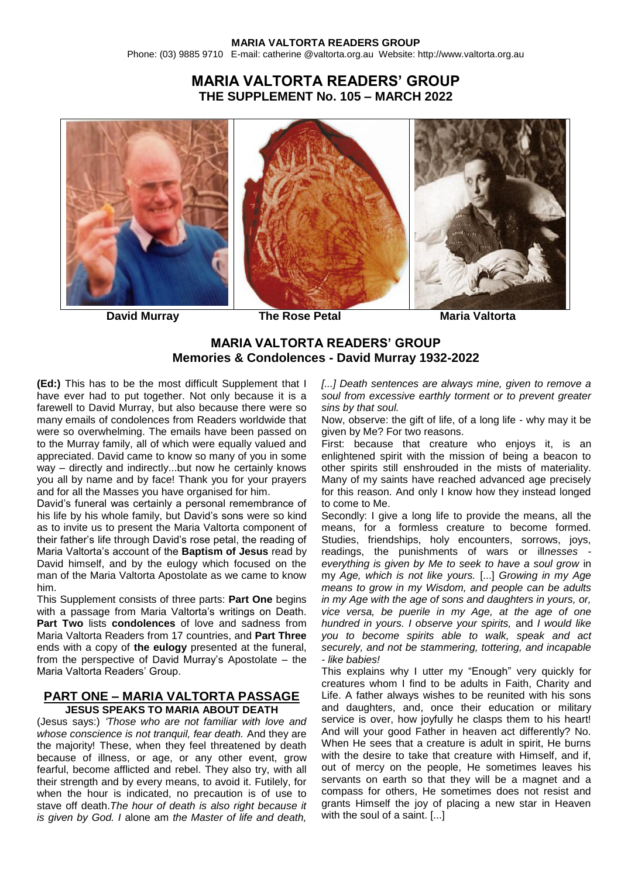### **MARIA VALTORTA READERS GROUP** Phone: (03) 9885 9710 E-mail: catherine @valtorta.org.au Website: http://www.valtorta.org.au

# **MARIA VALTORTA READERS' GROUP THE SUPPLEMENT No. 105 – MARCH 2022**







**David Murray The Rose Petal Maria Valtorta** 

### **MARIA VALTORTA READERS' GROUP Memories & Condolences - David Murray 1932-2022**

**(Ed:)** This has to be the most difficult Supplement that I have ever had to put together. Not only because it is a farewell to David Murray, but also because there were so many emails of condolences from Readers worldwide that were so overwhelming. The emails have been passed on to the Murray family, all of which were equally valued and appreciated. David came to know so many of you in some way – directly and indirectly...but now he certainly knows you all by name and by face! Thank you for your prayers and for all the Masses you have organised for him.

David's funeral was certainly a personal remembrance of his life by his whole family, but David's sons were so kind as to invite us to present the Maria Valtorta component of their father's life through David's rose petal, the reading of Maria Valtorta's account of the **Baptism of Jesus** read by David himself, and by the eulogy which focused on the man of the Maria Valtorta Apostolate as we came to know him.

This Supplement consists of three parts: **Part One** begins with a passage from Maria Valtorta's writings on Death. **Part Two** lists **condolences** of love and sadness from Maria Valtorta Readers from 17 countries, and **Part Three** ends with a copy of **the eulogy** presented at the funeral, from the perspective of David Murray's Apostolate – the Maria Valtorta Readers' Group.

### **PART ONE – MARIA VALTORTA PASSAGE JESUS SPEAKS TO MARIA ABOUT DEATH**

(Jesus says:) *'Those who are not familiar with love and whose conscience is not tranquil, fear death.* And they are the majority! These, when they feel threatened by death because of illness, or age, or any other event, grow fearful, become afflicted and rebel. They also try, with all their strength and by every means, to avoid it. Futilely, for when the hour is indicated, no precaution is of use to stave off death.*The hour of death is also right because it is given by God. I* alone am *the Master of life and death,* 

*[...] Death sentences are always mine, given to remove a soul from excessive earthly torment or to prevent greater sins by that soul.*

Now, observe: the gift of life, of a long life - why may it be given by Me? For two reasons.

First: because that creature who enjoys it, is an enlightened spirit with the mission of being a beacon to other spirits still enshrouded in the mists of materiality. Many of my saints have reached advanced age precisely for this reason. And only I know how they instead longed to come to Me.

Secondly: I give a long life to provide the means, all the means, for a formless creature to become formed. Studies, friendships, holy encounters, sorrows, joys, readings, the punishments of wars or ill*nesses everything is given by Me to seek to have a soul grow* in my *Age, which is not like yours.* [...] *Growing in my Age means to grow in my Wisdom, and people can be adults in my Age with the age of sons and daughters in yours, or, vice versa, be puerile in my Age, at the age of one hundred in yours. I observe your spirits,* and *I would like you to become spirits able to walk, speak and act securely, and not be stammering, tottering, and incapable - like babies!*

This explains why I utter my "Enough" very quickly for creatures whom I find to be adults in Faith, Charity and Life. A father always wishes to be reunited with his sons and daughters, and, once their education or military service is over, how joyfully he clasps them to his heart! And will your good Father in heaven act differently? No. When He sees that a creature is adult in spirit, He burns with the desire to take that creature with Himself, and if, out of mercy on the people, He sometimes leaves his servants on earth so that they will be a magnet and a compass for others, He sometimes does not resist and grants Himself the joy of placing a new star in Heaven with the soul of a saint. [...]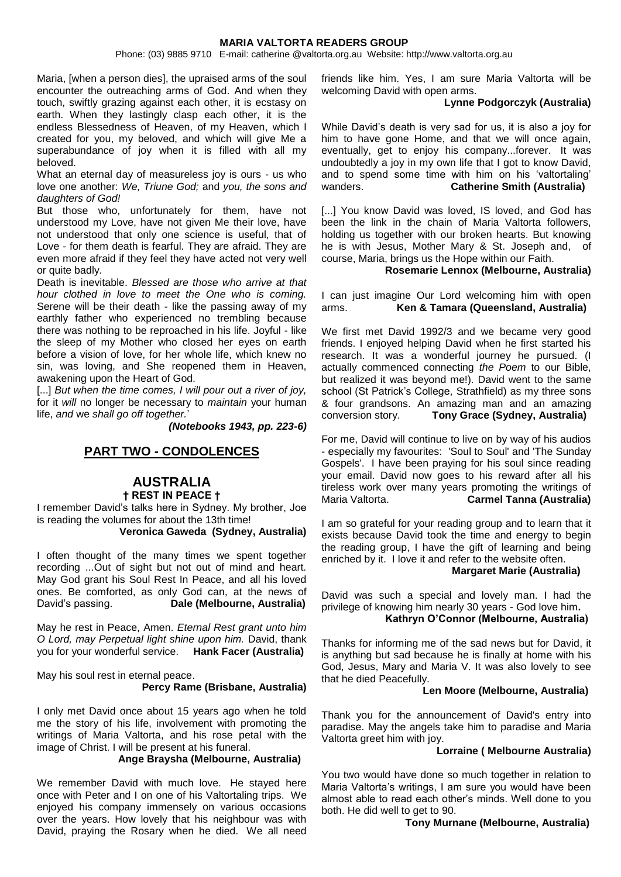Phone: (03) 9885 9710 E-mail: catherine @valtorta.org.au Website: http://www.valtorta.org.au

Maria, [when a person dies], the upraised arms of the soul encounter the outreaching arms of God. And when they touch, swiftly grazing against each other, it is ecstasy on earth. When they lastingly clasp each other, it is the endless Blessedness of Heaven, of my Heaven, which I created for you, my beloved, and which will give Me a superabundance of joy when it is filled with all my beloved.

What an eternal day of measureless joy is ours - us who love one another: *We, Triune God;* and *you, the sons and daughters of God!*

But those who, unfortunately for them, have not understood my Love, have not given Me their love, have not understood that only one science is useful, that of Love - for them death is fearful. They are afraid. They are even more afraid if they feel they have acted not very well or quite badly.

Death is inevitable. *Blessed are those who arrive at that hour clothed in love to meet the One who is coming.*  Serene will be their death - like the passing away of my earthly father who experienced no trembling because there was nothing to be reproached in his life. Joyful - like the sleep of my Mother who closed her eyes on earth before a vision of love, for her whole life, which knew no sin, was loving, and She reopened them in Heaven, awakening upon the Heart of God.

[...] *But when the time comes, I will pour out a river of joy,* for it *will* no longer be necessary to *maintain* your human life, *and* we *shall go off together.*'

*(Notebooks 1943, pp. 223-6)*

## **PART TWO - CONDOLENCES**

### **AUSTRALIA † REST IN PEACE †**

I remember David's talks here in Sydney. My brother, Joe is reading the volumes for about the 13th time!

**Veronica Gaweda (Sydney, Australia)**

I often thought of the many times we spent together recording ...Out of sight but not out of mind and heart. May God grant his Soul Rest In Peace, and all his loved ones. Be comforted, as only God can, at the news of David's passing. **Dale (Melbourne, Australia)**

May he rest in Peace, Amen. *Eternal Rest grant unto him O Lord, may Perpetual light shine upon him.* David, thank you for your wonderful service. **Hank Facer (Australia)**

May his soul rest in eternal peace. **Percy Rame (Brisbane, Australia)**

I only met David once about 15 years ago when he told me the story of his life, involvement with promoting the writings of Maria Valtorta, and his rose petal with the image of Christ. I will be present at his funeral.

#### **Ange Braysha (Melbourne, Australia)**

We remember David with much love. He stayed here once with Peter and I on one of his Valtortaling trips. We enjoyed his company immensely on various occasions over the years. How lovely that his neighbour was with David, praying the Rosary when he died. We all need friends like him. Yes, I am sure Maria Valtorta will be welcoming David with open arms.

#### **Lynne Podgorczyk (Australia)**

While David's death is very sad for us, it is also a joy for him to have gone Home, and that we will once again, eventually, get to enjoy his company...forever. It was undoubtedly a joy in my own life that I got to know David, and to spend some time with him on his 'valtortaling' wanders. **Catherine Smith (Australia)**

[...] You know David was loved, IS loved, and God has been the link in the chain of Maria Valtorta followers, holding us together with our broken hearts. But knowing he is with Jesus, Mother Mary & St. Joseph and, of course, Maria, brings us the Hope within our Faith.

#### **Rosemarie Lennox (Melbourne, Australia)**

I can just imagine Our Lord welcoming him with open arms. **Ken & Tamara (Queensland, Australia)**

We first met David 1992/3 and we became very good friends. I enjoyed helping David when he first started his research. It was a wonderful journey he pursued. (I actually commenced connecting *the Poem* to our Bible, but realized it was beyond me!). David went to the same school (St Patrick's College, Strathfield) as my three sons & four grandsons. An amazing man and an amazing conversion story. **Tony Grace (Sydney, Australia)**

For me, David will continue to live on by way of his audios - especially my favourites: 'Soul to Soul' and 'The Sunday Gospels'. I have been praying for his soul since reading your email. David now goes to his reward after all his tireless work over many years promoting the writings of Maria Valtorta. **Carmel Tanna (Australia)**

I am so grateful for your reading group and to learn that it exists because David took the time and energy to begin the reading group, I have the gift of learning and being enriched by it. I love it and refer to the website often.

#### **Margaret Marie (Australia)**

David was such a special and lovely man. I had the privilege of knowing him nearly 30 years - God love him**. Kathryn O'Connor (Melbourne, Australia)**

Thanks for informing me of the sad news but for David, it is anything but sad because he is finally at home with his God, Jesus, Mary and Maria V. It was also lovely to see that he died Peacefully.

#### **Len Moore (Melbourne, Australia)**

Thank you for the announcement of David's entry into paradise. May the angels take him to paradise and Maria Valtorta greet him with joy.

#### **Lorraine ( Melbourne Australia)**

You two would have done so much together in relation to Maria Valtorta's writings, I am sure you would have been almost able to read each other's minds. Well done to you both. He did well to get to 90.

#### **Tony Murnane (Melbourne, Australia)**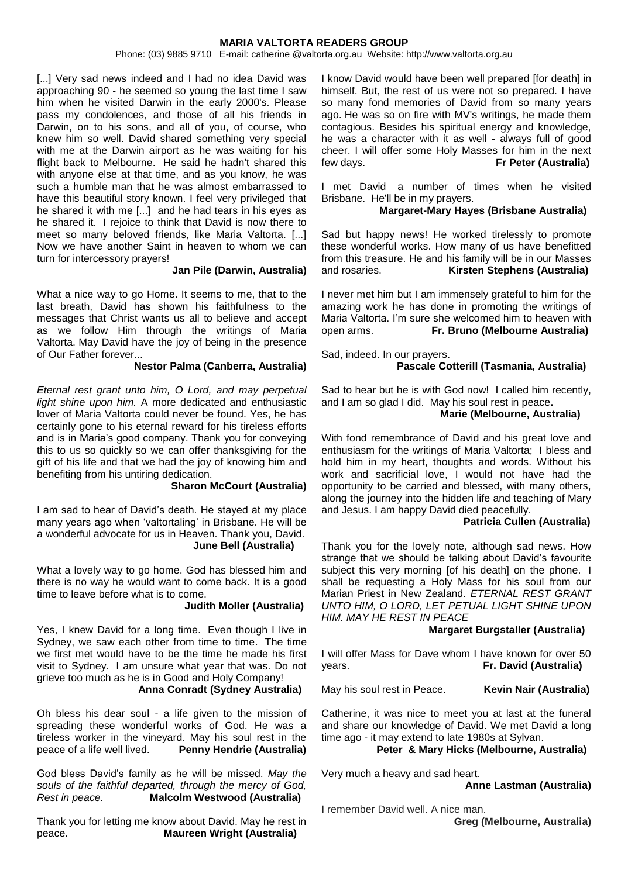Phone: (03) 9885 9710 E-mail: catherine @valtorta.org.au Website: http://www.valtorta.org.au

[...] Very sad news indeed and I had no idea David was approaching 90 - he seemed so young the last time I saw him when he visited Darwin in the early 2000's. Please pass my condolences, and those of all his friends in Darwin, on to his sons, and all of you, of course, who knew him so well. David shared something very special with me at the Darwin airport as he was waiting for his flight back to Melbourne. He said he hadn't shared this with anyone else at that time, and as you know, he was such a humble man that he was almost embarrassed to have this beautiful story known. I feel very privileged that he shared it with me [...] and he had tears in his eyes as he shared it. I rejoice to think that David is now there to meet so many beloved friends, like Maria Valtorta. [...] Now we have another Saint in heaven to whom we can turn for intercessory prayers!

#### **Jan Pile (Darwin, Australia)**

What a nice way to go Home. It seems to me, that to the last breath, David has shown his faithfulness to the messages that Christ wants us all to believe and accept as we follow Him through the writings of Maria Valtorta. May David have the joy of being in the presence of Our Father forever...

#### **Nestor Palma (Canberra, Australia)**

*Eternal rest grant unto him, O Lord, and may perpetual light shine upon him.* A more dedicated and enthusiastic lover of Maria Valtorta could never be found. Yes, he has certainly gone to his eternal reward for his tireless efforts and is in Maria's good company. Thank you for conveying this to us so quickly so we can offer thanksgiving for the gift of his life and that we had the joy of knowing him and benefiting from his untiring dedication.

#### **Sharon McCourt (Australia)**

I am sad to hear of David's death. He stayed at my place many years ago when 'valtortaling' in Brisbane. He will be a wonderful advocate for us in Heaven. Thank you, David.  **June Bell (Australia)**

What a lovely way to go home. God has blessed him and there is no way he would want to come back. It is a good time to leave before what is to come.

#### **Judith Moller (Australia)**

Yes, I knew David for a long time. Even though I live in Sydney, we saw each other from time to time. The time we first met would have to be the time he made his first visit to Sydney. I am unsure what year that was. Do not grieve too much as he is in Good and Holy Company!

#### **Anna Conradt (Sydney Australia)**

Oh bless his dear soul - a life given to the mission of spreading these wonderful works of God. He was a tireless worker in the vineyard. May his soul rest in the peace of a life well lived. **Penny Hendrie (Australia)**

God bless David's family as he will be missed. *May the souls of the faithful departed, through the mercy of God, Rest in peace.* **Malcolm Westwood (Australia)**

Thank you for letting me know about David. May he rest in peace. **Maureen Wright (Australia)**

I know David would have been well prepared [for death] in himself. But, the rest of us were not so prepared. I have so many fond memories of David from so many years ago. He was so on fire with MV's writings, he made them contagious. Besides his spiritual energy and knowledge, he was a character with it as well - always full of good cheer. I will offer some Holy Masses for him in the next few days. **Fr Peter (Australia)**

I met David a number of times when he visited Brisbane. He'll be in my prayers.

#### **Margaret-Mary Hayes (Brisbane Australia)**

Sad but happy news! He worked tirelessly to promote these wonderful works. How many of us have benefitted from this treasure. He and his family will be in our Masses<br>and rosaries **Kirsten Stephens (Australia) Kirsten Stephens (Australia)** 

I never met him but I am immensely grateful to him for the amazing work he has done in promoting the writings of Maria Valtorta. I'm sure she welcomed him to heaven with open arms. **Fr. Bruno (Melbourne Australia)**

Sad, indeed. In our prayers.

#### **Pascale Cotterill (Tasmania, Australia)**

Sad to hear but he is with God now! I called him recently, and I am so glad I did. May his soul rest in peace**. Marie (Melbourne, Australia)** 

With fond remembrance of David and his great love and enthusiasm for the writings of Maria Valtorta; I bless and hold him in my heart, thoughts and words. Without his work and sacrificial love, I would not have had the opportunity to be carried and blessed, with many others, along the journey into the hidden life and teaching of Mary and Jesus. I am happy David died peacefully.

### **Patricia Cullen (Australia)**

Thank you for the lovely note, although sad news. How strange that we should be talking about David's favourite subject this very morning [of his death] on the phone. I shall be requesting a Holy Mass for his soul from our Marian Priest in New Zealand. *ETERNAL REST GRANT UNTO HIM, O LORD, LET PETUAL LIGHT SHINE UPON HIM. MAY HE REST IN PEACE*

#### **Margaret Burgstaller (Australia)**

I will offer Mass for Dave whom I have known for over 50 years. **Fr. David (Australia)**

May his soul rest in Peace. **Kevin Nair (Australia)**

Catherine, it was nice to meet you at last at the funeral and share our knowledge of David. We met David a long time ago - it may extend to late 1980s at Sylvan.

#### **Peter & Mary Hicks (Melbourne, Australia)**

Very much a heavy and sad heart.

**Anne Lastman (Australia)**

I remember David well. A nice man.

**Greg (Melbourne, Australia)**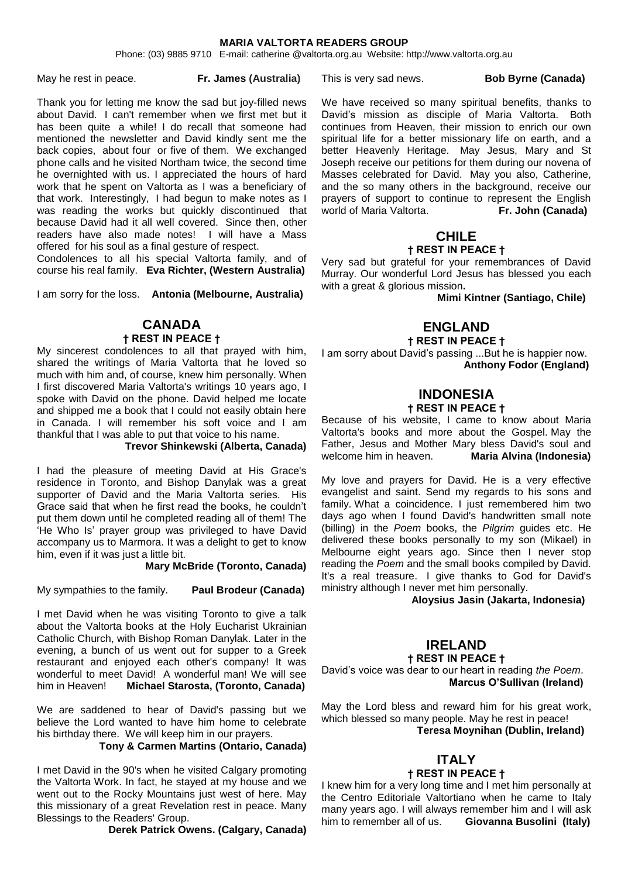Phone: (03) 9885 9710 E-mail: catherine @valtorta.org.au Website: http://www.valtorta.org.au

May he rest in peace. **Fr. James (Australia)**

#### This is very sad news. **Bob Byrne (Canada)**

Thank you for letting me know the sad but joy-filled news about David. I can't remember when we first met but it has been quite a while! I do recall that someone had mentioned the newsletter and David kindly sent me the back copies, about four or five of them. We exchanged phone calls and he visited Northam twice, the second time he overnighted with us. I appreciated the hours of hard work that he spent on Valtorta as I was a beneficiary of that work. Interestingly, I had begun to make notes as I was reading the works but quickly discontinued that because David had it all well covered. Since then, other readers have also made notes! I will have a Mass offered for his soul as a final gesture of respect.

Condolences to all his special Valtorta family, and of course his real family. **Eva Richter, (Western Australia)**

I am sorry for the loss. **Antonia (Melbourne, Australia)**

#### **CANADA † REST IN PEACE †**

My sincerest condolences to all that prayed with him, shared the writings of Maria Valtorta that he loved so much with him and, of course, knew him personally. When I first discovered Maria Valtorta's writings 10 years ago, I spoke with David on the phone. David helped me locate and shipped me a book that I could not easily obtain here in Canada. I will remember his soft voice and I am thankful that I was able to put that voice to his name.

**Trevor Shinkewski (Alberta, Canada)**

I had the pleasure of meeting David at His Grace's residence in Toronto, and Bishop Danylak was a great supporter of David and the Maria Valtorta series. His Grace said that when he first read the books, he couldn't put them down until he completed reading all of them! The 'He Who Is' prayer group was privileged to have David accompany us to Marmora. It was a delight to get to know him, even if it was just a little bit.

**Mary McBride (Toronto, Canada)**

My sympathies to the family. **Paul Brodeur (Canada)**

I met David when he was visiting Toronto to give a talk about the Valtorta books at the Holy Eucharist Ukrainian Catholic Church, with Bishop Roman Danylak. Later in the evening, a bunch of us went out for supper to a Greek restaurant and enjoyed each other's company! It was wonderful to meet David! A wonderful man! We will see him in Heaven! **Michael Starosta, (Toronto, Canada)**

We are saddened to hear of David's passing but we believe the Lord wanted to have him home to celebrate his birthday there. We will keep him in our prayers.

#### **Tony & Carmen Martins (Ontario, Canada)**

I met David in the 90's when he visited Calgary promoting the Valtorta Work. In fact, he stayed at my house and we went out to the Rocky Mountains just west of here. May this missionary of a great Revelation rest in peace. Many Blessings to the Readers' Group.

 **Derek Patrick Owens. (Calgary, Canada)**

We have received so many spiritual benefits, thanks to David's mission as disciple of Maria Valtorta. Both continues from Heaven, their mission to enrich our own spiritual life for a better missionary life on earth, and a better Heavenly Heritage. May Jesus, Mary and St Joseph receive our petitions for them during our novena of Masses celebrated for David. May you also, Catherine, and the so many others in the background, receive our prayers of support to continue to represent the English world of Maria Valtorta. **Fr. John (Canada)** 

### **CHILE † REST IN PEACE †**

Very sad but grateful for your remembrances of David Murray. Our wonderful Lord Jesus has blessed you each with a great & glorious mission**.** 

 **Mimi Kintner (Santiago, Chile)**

### **ENGLAND**

### **† REST IN PEACE †**

I am sorry about David's passing ...But he is happier now. **Anthony Fodor (England)**

# **INDONESIA**

### **† REST IN PEACE †**

Because of his website, I came to know about Maria Valtorta's books and more about the Gospel. May the Father, Jesus and Mother Mary bless David's soul and welcome him in heaven. **Maria Alvina (Indonesia)**

My love and prayers for David. He is a very effective evangelist and saint. Send my regards to his sons and family. What a coincidence. I just remembered him two days ago when I found David's handwritten small note (billing) in the *Poem* books, the *Pilgrim* guides etc. He delivered these books personally to my son (Mikael) in Melbourne eight years ago. Since then I never stop reading the *Poem* and the small books compiled by David. It's a real treasure. I give thanks to God for David's ministry although I never met him personally.

 **Aloysius Jasin (Jakarta, Indonesia)**

### **IRELAND**

### **† REST IN PEACE †**

David's voice was dear to our heart in reading *the Poem*.  **Marcus O'Sullivan (Ireland)**

May the Lord bless and reward him for his great work, which blessed so many people. May he rest in peace! **Teresa Moynihan (Dublin, Ireland)**

### **ITALY † REST IN PEACE †**

I knew him for a very long time and I met him personally at the Centro Editoriale Valtortiano when he came to Italy many years ago. I will always remember him and I will ask him to remember all of us. **Giovanna Busolini (Italy)**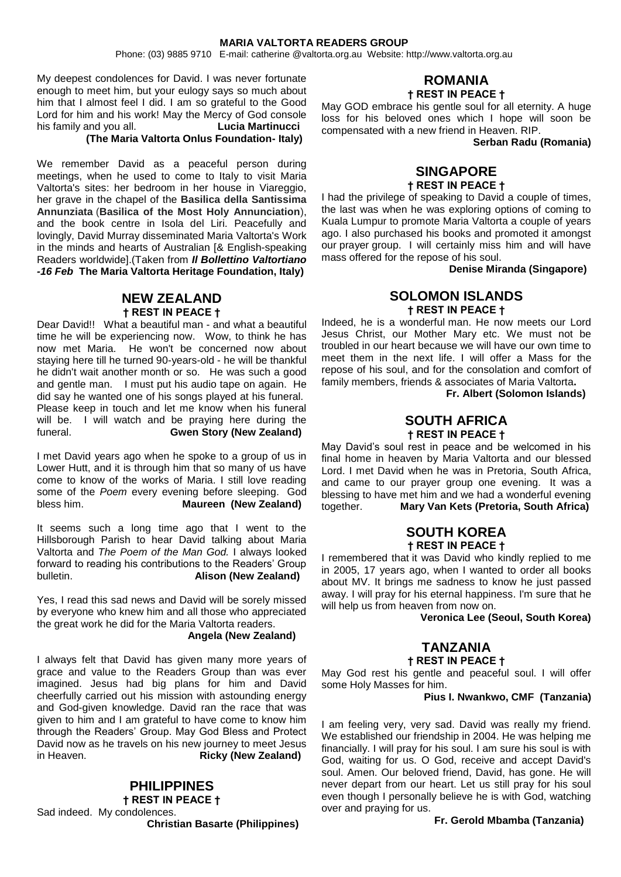Phone: (03) 9885 9710 E-mail: catherine @valtorta.org.au Website: http://www.valtorta.org.au

My deepest condolences for David. I was never fortunate enough to meet him, but your eulogy says so much about him that I almost feel I did. I am so grateful to the Good Lord for him and his work! May the Mercy of God console his family and you all. **Lucia Martinucci** 

### **(The Maria Valtorta Onlus Foundation- Italy)**

We remember David as a peaceful person during meetings, when he used to come to Italy to visit Maria Valtorta's sites: her bedroom in her house in Viareggio, her grave in the chapel of the **Basilica della Santissima Annunziata** (**Basilica of the Most Holy Annunciation**), and the book centre in Isola del Liri. Peacefully and lovingly, David Murray disseminated Maria Valtorta's Work in the minds and hearts of Australian [& English-speaking Readers worldwide].(Taken from *Il Bollettino Valtortiano -16 Feb* **The Maria Valtorta Heritage Foundation, Italy)**

### **NEW ZEALAND † REST IN PEACE †**

Dear David!! What a beautiful man - and what a beautiful time he will be experiencing now. Wow, to think he has now met Maria. He won't be concerned now about staying here till he turned 90-years-old - he will be thankful he didn't wait another month or so. He was such a good and gentle man. I must put his audio tape on again. He did say he wanted one of his songs played at his funeral. Please keep in touch and let me know when his funeral will be. I will watch and be praying here during the funeral. **Gwen Story (New Zealand)**

I met David years ago when he spoke to a group of us in Lower Hutt, and it is through him that so many of us have come to know of the works of Maria. I still love reading some of the *Poem* every evening before sleeping. God bless him. **Maureen (New Zealand)** 

It seems such a long time ago that I went to the Hillsborough Parish to hear David talking about Maria Valtorta and *The Poem of the Man God.* I always looked forward to reading his contributions to the Readers' Group bulletin. **Alison (New Zealand)**

Yes, I read this sad news and David will be sorely missed by everyone who knew him and all those who appreciated the great work he did for the Maria Valtorta readers.

#### **Angela (New Zealand)**

I always felt that David has given many more years of grace and value to the Readers Group than was ever imagined. Jesus had big plans for him and David cheerfully carried out his mission with astounding energy and God-given knowledge. David ran the race that was given to him and I am grateful to have come to know him through the Readers' Group. May God Bless and Protect David now as he travels on his new journey to meet Jesus in Heaven. **Ricky (New Zealand)**

### **PHILIPPINES**

**† REST IN PEACE †** Sad indeed. My condolences. **Christian Basarte (Philippines)**

### **ROMANIA † REST IN PEACE †**

May GOD embrace his gentle soul for all eternity. A huge loss for his beloved ones which I hope will soon be compensated with a new friend in Heaven. RIP.

 **Serban Radu (Romania)**

### **SINGAPORE † REST IN PEACE †**

I had the privilege of speaking to David a couple of times, the last was when he was exploring options of coming to Kuala Lumpur to promote Maria Valtorta a couple of years ago. I also purchased his books and promoted it amongst our prayer group. I will certainly miss him and will have mass offered for the repose of his soul.

**Denise Miranda (Singapore)**

### **SOLOMON ISLANDS † REST IN PEACE †**

Indeed, he is a wonderful man. He now meets our Lord Jesus Christ, our Mother Mary etc. We must not be troubled in our heart because we will have our own time to meet them in the next life. I will offer a Mass for the repose of his soul, and for the consolation and comfort of family members, friends & associates of Maria Valtorta**.** 

 **Fr. Albert (Solomon Islands)**

### **SOUTH AFRICA † REST IN PEACE †**

May David's soul rest in peace and be welcomed in his final home in heaven by Maria Valtorta and our blessed Lord. I met David when he was in Pretoria, South Africa, and came to our prayer group one evening. It was a blessing to have met him and we had a wonderful evening together. **Mary Van Kets (Pretoria, South Africa)**

### **SOUTH KOREA † REST IN PEACE †**

I remembered that it was David who kindly replied to me in 2005, 17 years ago, when I wanted to order all books about MV. It brings me sadness to know he just passed away. I will pray for his eternal happiness. I'm sure that he will help us from heaven from now on.

**Veronica Lee (Seoul, South Korea)**

# **TANZANIA**

**† REST IN PEACE †**

May God rest his gentle and peaceful soul. I will offer some Holy Masses for him.

#### **Pius I. Nwankwo, CMF (Tanzania)**

I am feeling very, very sad. David was really my friend. We established our friendship in 2004. He was helping me financially. I will pray for his soul. I am sure his soul is with God, waiting for us. O God, receive and accept David's soul. Amen. Our beloved friend, David, has gone. He will never depart from our heart. Let us still pray for his soul even though I personally believe he is with God, watching over and praying for us.

#### **Fr. Gerold Mbamba (Tanzania)**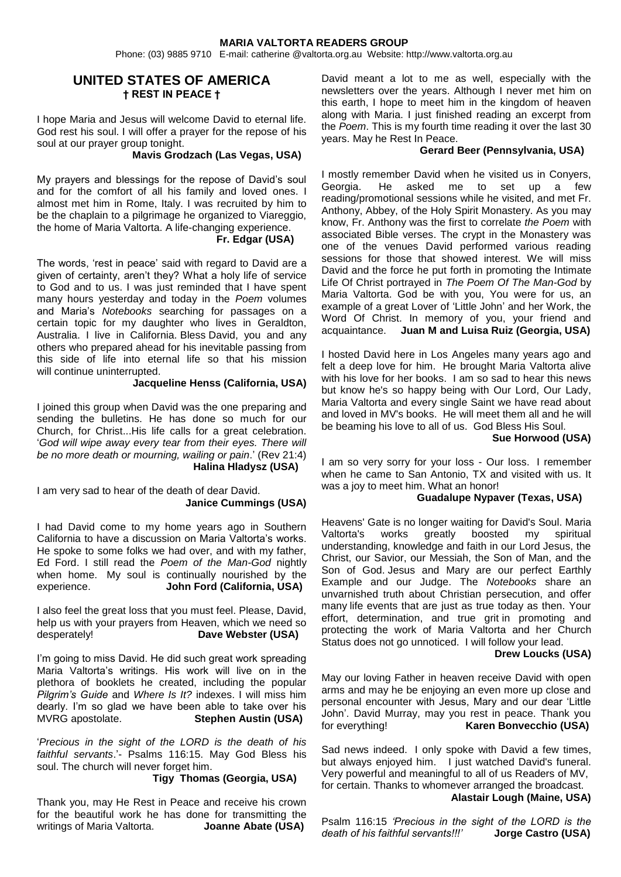Phone: (03) 9885 9710 E-mail: catherine @valtorta.org.au Website: http://www.valtorta.org.au

### **UNITED STATES OF AMERICA † REST IN PEACE †**

I hope Maria and Jesus will welcome David to eternal life. God rest his soul. I will offer a prayer for the repose of his soul at our prayer group tonight.

#### **Mavis Grodzach (Las Vegas, USA)**

My prayers and blessings for the repose of David's soul and for the comfort of all his family and loved ones. I almost met him in Rome, Italy. I was recruited by him to be the chaplain to a pilgrimage he organized to Viareggio, the home of Maria Valtorta. A life-changing experience.  **Fr. Edgar (USA)**

The words, 'rest in peace' said with regard to David are a given of certainty, aren't they? What a holy life of service to God and to us. I was just reminded that I have spent many hours yesterday and today in the *Poem* volumes and Maria's *Notebooks* searching for passages on a certain topic for my daughter who lives in Geraldton, Australia. I live in California. Bless David, you and any others who prepared ahead for his inevitable passing from this side of life into eternal life so that his mission will continue uninterrupted.

#### **Jacqueline Henss (California, USA)**

I joined this group when David was the one preparing and sending the bulletins. He has done so much for our Church, for Christ...His life calls for a great celebration. '*God will wipe away every tear from their eyes. There will be no more death or mourning, wailing or pain*.' (Rev 21:4)

**Halina Hladysz (USA)**

I am very sad to hear of the death of dear David. **Janice Cummings (USA)**

I had David come to my home years ago in Southern California to have a discussion on Maria Valtorta's works. He spoke to some folks we had over, and with my father, Ed Ford. I still read the *Poem of the Man-God* nightly when home. My soul is continually nourished by the experience.<br> **John Ford (California, USA) John Ford (California, USA)** 

I also feel the great loss that you must feel. Please, David, help us with your prayers from Heaven, which we need so desperately! **Dave Webster (USA)**

I'm going to miss David. He did such great work spreading Maria Valtorta's writings. His work will live on in the plethora of booklets he created, including the popular *Pilgrim's Guide* and *Where Is It?* indexes. I will miss him dearly. I'm so glad we have been able to take over his MVRG apostolate. **Stephen Austin (USA)**

'*Precious in the sight of the LORD is the death of his faithful servants*.'- Psalms 116:15. May God Bless his soul. The church will never forget him.

### **Tigy Thomas (Georgia, USA)**

Thank you, may He Rest in Peace and receive his crown for the beautiful work he has done for transmitting the writings of Maria Valtorta. **Joanne Abate (USA)**

David meant a lot to me as well, especially with the newsletters over the years. Although I never met him on this earth, I hope to meet him in the kingdom of heaven along with Maria. I just finished reading an excerpt from the *Poem*. This is my fourth time reading it over the last 30 years. May he Rest In Peace.

#### **Gerard Beer (Pennsylvania, USA)**

I mostly remember David when he visited us in Conyers, Georgia. He asked me to set up a few reading/promotional sessions while he visited, and met Fr. Anthony, Abbey, of the Holy Spirit Monastery. As you may know, Fr. Anthony was the first to correlate *the Poem* with associated Bible verses. The crypt in the Monastery was one of the venues David performed various reading sessions for those that showed interest. We will miss David and the force he put forth in promoting the Intimate Life Of Christ portrayed in *The Poem Of The Man-God* by Maria Valtorta. God be with you, You were for us, an example of a great Lover of 'Little John' and her Work, the Word Of Christ. In memory of you, your friend and acquaintance. **Juan M and Luisa Ruiz (Georgia, USA)**

I hosted David here in Los Angeles many years ago and felt a deep love for him. He brought Maria Valtorta alive with his love for her books. I am so sad to hear this news but know he's so happy being with Our Lord, Our Lady, Maria Valtorta and every single Saint we have read about and loved in MV's books. He will meet them all and he will be beaming his love to all of us. God Bless His Soul.

#### **Sue Horwood (USA)**

I am so very sorry for your loss - Our loss. I remember when he came to San Antonio, TX and visited with us. It was a joy to meet him. What an honor!

### **Guadalupe Nypaver (Texas, USA)**

Heavens' Gate is no longer waiting for David's Soul. Maria Valtorta's works greatly boosted my spiritual understanding, knowledge and faith in our Lord Jesus, the Christ, our Savior, our Messiah, the Son of Man, and the Son of God. Jesus and Mary are our perfect Earthly Example and our Judge. The *Notebooks* share an unvarnished truth about Christian persecution, and offer many life events that are just as true today as then. Your effort, determination, and true grit in promoting and protecting the work of Maria Valtorta and her Church Status does not go unnoticed. I will follow your lead.

#### **Drew Loucks (USA)**

May our loving Father in heaven receive David with open arms and may he be enjoying an even more up close and personal encounter with Jesus, Mary and our dear 'Little John'. David Murray, may you rest in peace. Thank you for everything! **Karen Bonvecchio (USA)**

Sad news indeed. I only spoke with David a few times, but always enjoyed him. I just watched David's funeral. Very powerful and meaningful to all of us Readers of MV, for certain. Thanks to whomever arranged the broadcast.

#### **Alastair Lough (Maine, USA)**

Psalm 116:15 *'Precious in the sight of the LORD is the death of his faithful servants!!!'* **Jorge Castro (USA)**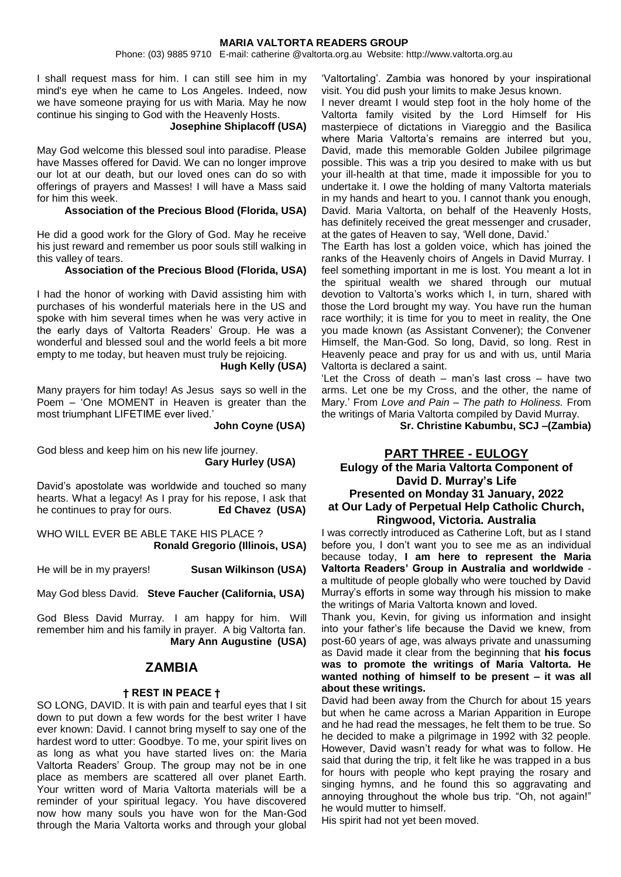Phone: (03) 9885 9710 E-mail: catherine @valtorta.org.au Website: http://www.valtorta.org.au

I shall request mass for him. I can still see him in my mind's eye when he came to Los Angeles. Indeed, now we have someone praying for us with Maria. May he now continue his singing to God with the Heavenly Hosts.

#### **Josephine Shiplacoff (USA)**

May God welcome this blessed soul into paradise. Please have Masses offered for David. We can no longer improve our lot at our death, but our loved ones can do so with offerings of prayers and Masses! I will have a Mass said for him this week.

**Association of the Precious Blood (Florida, USA)**

He did a good work for the Glory of God. May he receive his just reward and remember us poor souls still walking in this valley of tears.

### **Association of the Precious Blood (Florida, USA)**

I had the honor of working with David assisting him with purchases of his wonderful materials here in the US and spoke with him several times when he was very active in the early days of Valtorta Readers' Group. He was a wonderful and blessed soul and the world feels a bit more empty to me today, but heaven must truly be rejoicing.

**Hugh Kelly (USA)**

Many prayers for him today! As Jesus says so well in the Poem – 'One MOMENT in Heaven is greater than the most triumphant LIFETIME ever lived.'

**John Coyne (USA)**

God bless and keep him on his new life journey. **Gary Hurley (USA)**

David's apostolate was worldwide and touched so many hearts. What a legacy! As I pray for his repose, I ask that he continues to pray for ours. **Ed Chavez (USA)**

WHO WILL EVER BE ABLE TAKE HIS PLACE ? **Ronald Gregorio (Illinois, USA)**

He will be in my prayers! **Susan Wilkinson (USA)**

May God bless David. **Steve Faucher (California, USA)**

God Bless David Murray. I am happy for him. Will remember him and his family in prayer. A big Valtorta fan.  **Mary Ann Augustine (USA)**

### **ZAMBIA**

#### **† REST IN PEACE †**

SO LONG, DAVID. It is with pain and tearful eyes that I sit down to put down a few words for the best writer I have ever known: David. I cannot bring myself to say one of the hardest word to utter: Goodbye. To me, your spirit lives on as long as what you have started lives on: the Maria Valtorta Readers' Group. The group may not be in one place as members are scattered all over planet Earth. Your written word of Maria Valtorta materials will be a reminder of your spiritual legacy. You have discovered now how many souls you have won for the Man-God through the Maria Valtorta works and through your global

'Valtortaling'. Zambia was honored by your inspirational visit. You did push your limits to make Jesus known.

I never dreamt I would step foot in the holy home of the Valtorta family visited by the Lord Himself for His masterpiece of dictations in Viareggio and the Basilica where Maria Valtorta's remains are interred but you, David, made this memorable Golden Jubilee pilgrimage possible. This was a trip you desired to make with us but your ill-health at that time, made it impossible for you to undertake it. I owe the holding of many Valtorta materials in my hands and heart to you. I cannot thank you enough, David. Maria Valtorta, on behalf of the Heavenly Hosts, has definitely received the great messenger and crusader, at the gates of Heaven to say, 'Well done, David.'

The Earth has lost a golden voice, which has joined the ranks of the Heavenly choirs of Angels in David Murray. I feel something important in me is lost. You meant a lot in the spiritual wealth we shared through our mutual devotion to Valtorta's works which I, in turn, shared with those the Lord brought my way. You have run the human race worthily; it is time for you to meet in reality, the One you made known (as Assistant Convener); the Convener Himself, the Man-God. So long, David, so long. Rest in Heavenly peace and pray for us and with us, until Maria Valtorta is declared a saint.

'Let the Cross of death – man's last cross – have two arms. Let one be my Cross, and the other, the name of Mary.' From *Love and Pain – The path to Holiness.* From the writings of Maria Valtorta compiled by David Murray.

**Sr. Christine Kabumbu, SCJ –(Zambia)**

### **PART THREE - EULOGY**

### **Eulogy of the Maria Valtorta Component of David D. Murray's Life Presented on Monday 31 January, 2022 at Our Lady of Perpetual Help Catholic Church, Ringwood, Victoria. Australia**

I was correctly introduced as Catherine Loft, but as I stand before you, I don't want you to see me as an individual because today, **I am here to represent the Maria Valtorta Readers' Group in Australia and worldwide** a multitude of people globally who were touched by David Murray's efforts in some way through his mission to make the writings of Maria Valtorta known and loved.

Thank you, Kevin, for giving us information and insight into your father's life because the David we knew, from post-60 years of age, was always private and unassuming as David made it clear from the beginning that **his focus was to promote the writings of Maria Valtorta. He wanted nothing of himself to be present – it was all about these writings.**

David had been away from the Church for about 15 years but when he came across a Marian Apparition in Europe and he had read the messages, he felt them to be true. So he decided to make a pilgrimage in 1992 with 32 people. However, David wasn't ready for what was to follow. He said that during the trip, it felt like he was trapped in a bus for hours with people who kept praying the rosary and singing hymns, and he found this so aggravating and annoying throughout the whole bus trip. "Oh, not again!" he would mutter to himself.

His spirit had not yet been moved.